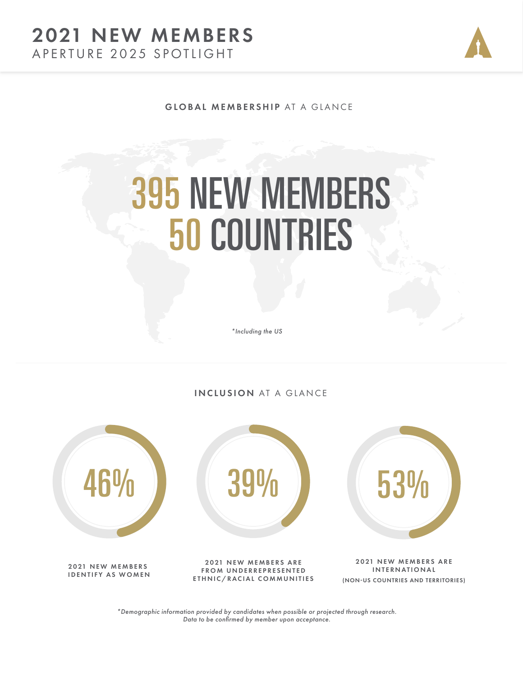### APERTURE 2025 SPOTLIGHT 2021 NEW MEMBERS



GLOBAL MEMBERSHIP AT A GLANCE

# 395 NEW MEMBERS 50 COUNTRIES

*\*Including the US*

INCLUSION AT A GLANCE



(NON-US COUNTRIES AND TERRITORIES)

*\*Demographic information provided by candidates when possible or projected through research. Data to be confirmed by member upon acceptance.*

ETHNIC/RACIAL COMMUNITIES